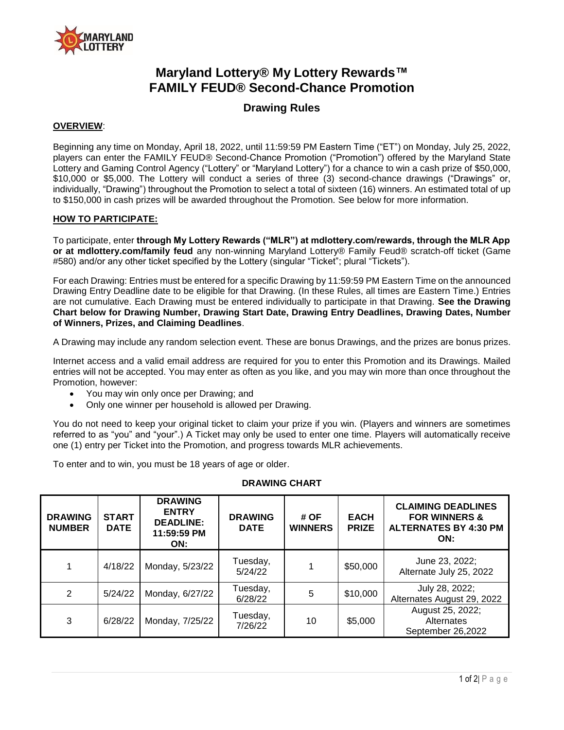

# **Maryland Lottery® My Lottery Rewards™ FAMILY FEUD® Second-Chance Promotion**

## **Drawing Rules**

#### **OVERVIEW**:

Beginning any time on Monday, April 18, 2022, until 11:59:59 PM Eastern Time ("ET") on Monday, July 25, 2022, players can enter the FAMILY FEUD® Second-Chance Promotion ("Promotion") offered by the Maryland State Lottery and Gaming Control Agency ("Lottery" or "Maryland Lottery") for a chance to win a cash prize of \$50,000, \$10,000 or \$5,000. The Lottery will conduct a series of three (3) second-chance drawings ("Drawings" or, individually, "Drawing") throughout the Promotion to select a total of sixteen (16) winners. An estimated total of up to \$150,000 in cash prizes will be awarded throughout the Promotion. See below for more information.

#### **HOW TO PARTICIPATE:**

To participate, enter **through My Lottery Rewards ("MLR") at mdlottery.com/rewards, through the MLR App or at mdlottery.com/family feud** any non-winning Maryland Lottery® Family Feud® scratch-off ticket (Game #580) and/or any other ticket specified by the Lottery (singular "Ticket"; plural "Tickets").

For each Drawing: Entries must be entered for a specific Drawing by 11:59:59 PM Eastern Time on the announced Drawing Entry Deadline date to be eligible for that Drawing. (In these Rules, all times are Eastern Time.) Entries are not cumulative. Each Drawing must be entered individually to participate in that Drawing. **See the Drawing Chart below for Drawing Number, Drawing Start Date, Drawing Entry Deadlines, Drawing Dates, Number of Winners, Prizes, and Claiming Deadlines**.

A Drawing may include any random selection event. These are bonus Drawings, and the prizes are bonus prizes.

Internet access and a valid email address are required for you to enter this Promotion and its Drawings. Mailed entries will not be accepted. You may enter as often as you like, and you may win more than once throughout the Promotion, however:

- You may win only once per Drawing; and
- Only one winner per household is allowed per Drawing.

You do not need to keep your original ticket to claim your prize if you win. (Players and winners are sometimes referred to as "you" and "your".) A Ticket may only be used to enter one time. Players will automatically receive one (1) entry per Ticket into the Promotion, and progress towards MLR achievements.

To enter and to win, you must be 18 years of age or older.

| <b>DRAWING</b><br><b>NUMBER</b> | <b>START</b><br><b>DATE</b> | <b>DRAWING</b><br><b>ENTRY</b><br><b>DEADLINE:</b><br>11:59:59 PM<br>ON: | <b>DRAWING</b><br><b>DATE</b> | # OF<br><b>WINNERS</b> | <b>EACH</b><br><b>PRIZE</b> | <b>CLAIMING DEADLINES</b><br><b>FOR WINNERS &amp;</b><br><b>ALTERNATES BY 4:30 PM</b><br>ON: |
|---------------------------------|-----------------------------|--------------------------------------------------------------------------|-------------------------------|------------------------|-----------------------------|----------------------------------------------------------------------------------------------|
| 1                               | 4/18/22                     | Monday, 5/23/22                                                          | Tuesday,<br>5/24/22           |                        | \$50,000                    | June 23, 2022;<br>Alternate July 25, 2022                                                    |
| 2                               | 5/24/22                     | Monday, 6/27/22                                                          | Tuesday,<br>6/28/22           | 5                      | \$10,000                    | July 28, 2022;<br>Alternates August 29, 2022                                                 |
| 3                               | 6/28/22                     | Monday, 7/25/22                                                          | Tuesday,<br>7/26/22           | 10                     | \$5,000                     | August 25, 2022;<br>Alternates<br>September 26,2022                                          |

### **DRAWING CHART**